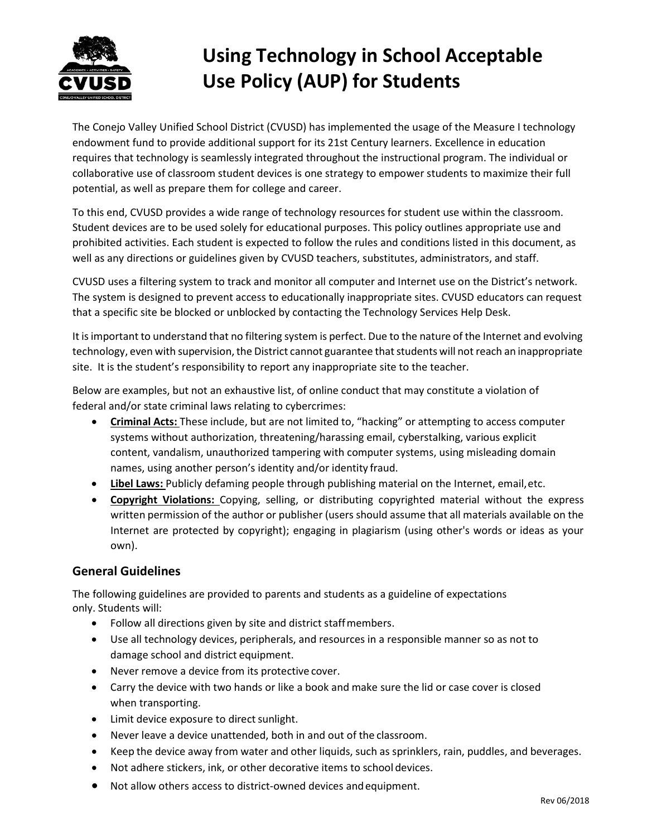

# Using Technology in School Acceptable Use Policy (AUP) for Students

The Conejo Valley Unified School District (CVUSD) has implemented the usage of the Measure I technology endowment fund to provide additional support for its 21st Century learners. Excellence in education requires that technology is seamlessly integrated throughout the instructional program. The individual or collaborative use of classroom student devices is one strategy to empower students to maximize their full potential, as well as prepare them for college and career.

To this end, CVUSD provides a wide range of technology resources for student use within the classroom. Student devices are to be used solely for educational purposes. This policy outlines appropriate use and prohibited activities. Each student is expected to follow the rules and conditions listed in this document, as well as any directions or guidelines given by CVUSD teachers, substitutes, administrators, and staff.

CVUSD uses a filtering system to track and monitor all computer and Internet use on the District's network. The system is designed to prevent access to educationally inappropriate sites. CVUSD educators can request that a specific site be blocked or unblocked by contacting the Technology Services Help Desk.

It is important to understand that no filtering system is perfect. Due to the nature of the Internet and evolving technology, even with supervision, the District cannot guarantee that students will not reach an inappropriate site. It is the student's responsibility to report any inappropriate site to the teacher.

Below are examples, but not an exhaustive list, of online conduct that may constitute a violation of federal and/or state criminal laws relating to cybercrimes:

- **•** Criminal Acts: These include, but are not limited to, "hacking" or attempting to access computer systems without authorization, threatening/harassing email, cyberstalking, various explicit content, vandalism, unauthorized tampering with computer systems, using misleading domain names, using another person's identity and/or identity fraud.
- Libel Laws: Publicly defaming people through publishing material on the Internet, email, etc.
- Copyright Violations: Copying, selling, or distributing copyrighted material without the express written permission of the author or publisher (users should assume that all materials available on the Internet are protected by copyright); engaging in plagiarism (using other's words or ideas as your own).

# General Guidelines

The following guidelines are provided to parents and students as a guideline of expectations only. Students will:

- Follow all directions given by site and district staff members.
- Use all technology devices, peripherals, and resources in a responsible manner so as not to damage school and district equipment.
- Never remove a device from its protective cover.
- Carry the device with two hands or like a book and make sure the lid or case cover is closed when transporting.
- Limit device exposure to direct sunlight.
- Never leave a device unattended, both in and out of the classroom.
- Keep the device away from water and other liquids, such as sprinklers, rain, puddles, and beverages.
- Not adhere stickers, ink, or other decorative items to school devices.
- Not allow others access to district-owned devices and equipment.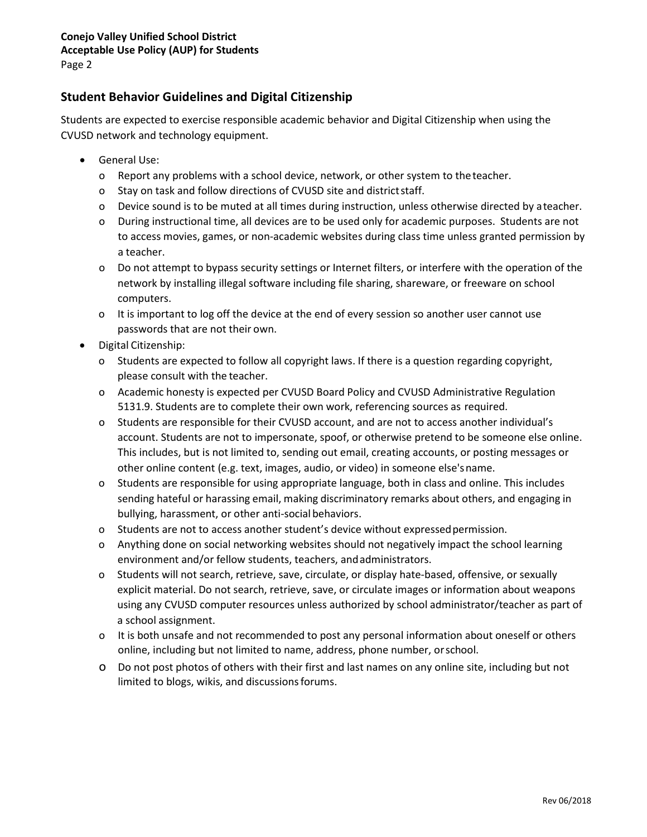# Student Behavior Guidelines and Digital Citizenship

Students are expected to exercise responsible academic behavior and Digital Citizenship when using the CVUSD network and technology equipment.

- General Use:
	- o Report any problems with a school device, network, or other system to the teacher.
	- o Stay on task and follow directions of CVUSD site and district staff.
	- o Device sound is to be muted at all times during instruction, unless otherwise directed by a teacher.
	- o During instructional time, all devices are to be used only for academic purposes. Students are not to access movies, games, or non-academic websites during class time unless granted permission by a teacher.
	- o Do not attempt to bypass security settings or Internet filters, or interfere with the operation of the network by installing illegal software including file sharing, shareware, or freeware on school computers.
	- o It is important to log off the device at the end of every session so another user cannot use passwords that are not their own.
- Digital Citizenship:
	- o Students are expected to follow all copyright laws. If there is a question regarding copyright, please consult with the teacher.
	- o Academic honesty is expected per CVUSD Board Policy and CVUSD Administrative Regulation 5131.9. Students are to complete their own work, referencing sources as required.
	- o Students are responsible for their CVUSD account, and are not to access another individual's account. Students are not to impersonate, spoof, or otherwise pretend to be someone else online. This includes, but is not limited to, sending out email, creating accounts, or posting messages or other online content (e.g. text, images, audio, or video) in someone else's name.
	- o Students are responsible for using appropriate language, both in class and online. This includes sending hateful or harassing email, making discriminatory remarks about others, and engaging in bullying, harassment, or other anti-social behaviors.
	- o Students are not to access another student's device without expressed permission.
	- o Anything done on social networking websites should not negatively impact the school learning environment and/or fellow students, teachers, and administrators.
	- o Students will not search, retrieve, save, circulate, or display hate-based, offensive, or sexually explicit material. Do not search, retrieve, save, or circulate images or information about weapons using any CVUSD computer resources unless authorized by school administrator/teacher as part of a school assignment.
	- o It is both unsafe and not recommended to post any personal information about oneself or others online, including but not limited to name, address, phone number, or school.
	- o Do not post photos of others with their first and last names on any online site, including but not limited to blogs, wikis, and discussions forums.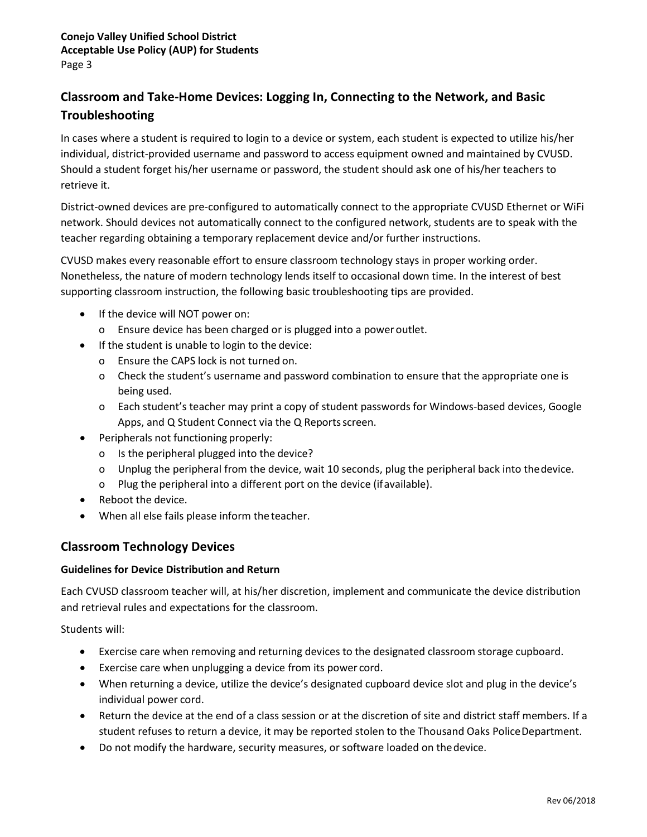# Classroom and Take-Home Devices: Logging In, Connecting to the Network, and Basic Troubleshooting

In cases where a student is required to login to a device or system, each student is expected to utilize his/her individual, district-provided username and password to access equipment owned and maintained by CVUSD. Should a student forget his/her username or password, the student should ask one of his/her teachers to retrieve it.

District-owned devices are pre-configured to automatically connect to the appropriate CVUSD Ethernet or WiFi network. Should devices not automatically connect to the configured network, students are to speak with the teacher regarding obtaining a temporary replacement device and/or further instructions.

CVUSD makes every reasonable effort to ensure classroom technology stays in proper working order. Nonetheless, the nature of modern technology lends itself to occasional down time. In the interest of best supporting classroom instruction, the following basic troubleshooting tips are provided.

- If the device will NOT power on:
	- o Ensure device has been charged or is plugged into a power outlet.
- If the student is unable to login to the device:
	- o Ensure the CAPS lock is not turned on.
	- o Check the student's username and password combination to ensure that the appropriate one is being used.
	- o Each student's teacher may print a copy of student passwords for Windows-based devices, Google Apps, and Q Student Connect via the Q Reports screen.
- Peripherals not functioning properly:
	- o Is the peripheral plugged into the device?
	- o Unplug the peripheral from the device, wait 10 seconds, plug the peripheral back into the device.
	- o Plug the peripheral into a different port on the device (if available).
- Reboot the device.
- When all else fails please inform the teacher.

## Classroom Technology Devices

#### Guidelines for Device Distribution and Return

Each CVUSD classroom teacher will, at his/her discretion, implement and communicate the device distribution and retrieval rules and expectations for the classroom.

Students will:

- Exercise care when removing and returning devices to the designated classroom storage cupboard.
- Exercise care when unplugging a device from its power cord.
- When returning a device, utilize the device's designated cupboard device slot and plug in the device's individual power cord.
- Return the device at the end of a class session or at the discretion of site and district staff members. If a student refuses to return a device, it may be reported stolen to the Thousand Oaks Police Department.
- Do not modify the hardware, security measures, or software loaded on the device.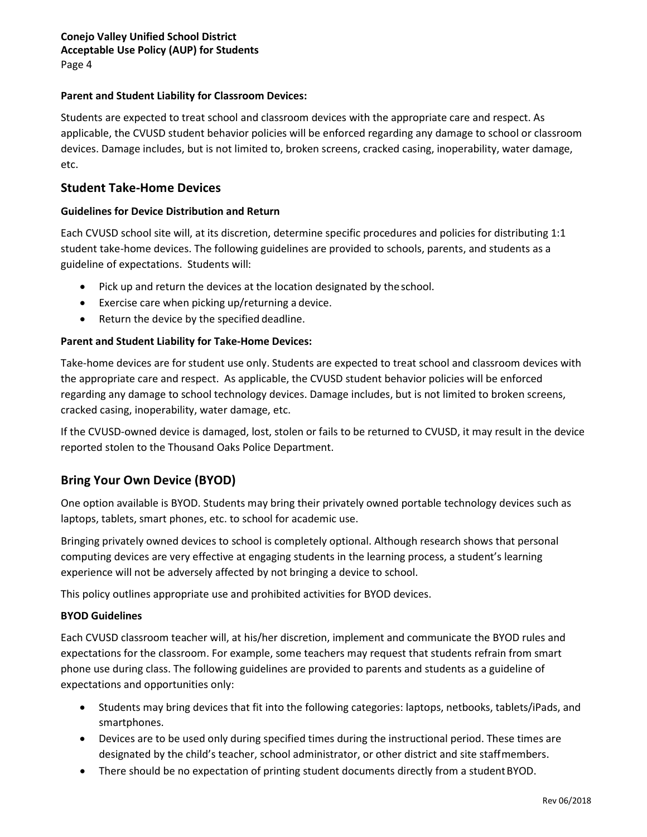#### Parent and Student Liability for Classroom Devices:

Students are expected to treat school and classroom devices with the appropriate care and respect. As applicable, the CVUSD student behavior policies will be enforced regarding any damage to school or classroom devices. Damage includes, but is not limited to, broken screens, cracked casing, inoperability, water damage, etc.

#### Student Take-Home Devices

#### Guidelines for Device Distribution and Return

Each CVUSD school site will, at its discretion, determine specific procedures and policies for distributing 1:1 student take-home devices. The following guidelines are provided to schools, parents, and students as a guideline of expectations. Students will:

- Pick up and return the devices at the location designated by the school.
- Exercise care when picking up/returning a device.
- Return the device by the specified deadline.

#### Parent and Student Liability for Take-Home Devices:

Take-home devices are for student use only. Students are expected to treat school and classroom devices with the appropriate care and respect. As applicable, the CVUSD student behavior policies will be enforced regarding any damage to school technology devices. Damage includes, but is not limited to broken screens, cracked casing, inoperability, water damage, etc.

If the CVUSD-owned device is damaged, lost, stolen or fails to be returned to CVUSD, it may result in the device reported stolen to the Thousand Oaks Police Department.

## Bring Your Own Device (BYOD)

One option available is BYOD. Students may bring their privately owned portable technology devices such as laptops, tablets, smart phones, etc. to school for academic use.

Bringing privately owned devices to school is completely optional. Although research shows that personal computing devices are very effective at engaging students in the learning process, a student's learning experience will not be adversely affected by not bringing a device to school.

This policy outlines appropriate use and prohibited activities for BYOD devices.

#### BYOD Guidelines

Each CVUSD classroom teacher will, at his/her discretion, implement and communicate the BYOD rules and expectations for the classroom. For example, some teachers may request that students refrain from smart phone use during class. The following guidelines are provided to parents and students as a guideline of expectations and opportunities only:

- Students may bring devices that fit into the following categories: laptops, netbooks, tablets/iPads, and smartphones.
- Devices are to be used only during specified times during the instructional period. These times are designated by the child's teacher, school administrator, or other district and site staff members.
- There should be no expectation of printing student documents directly from a student BYOD.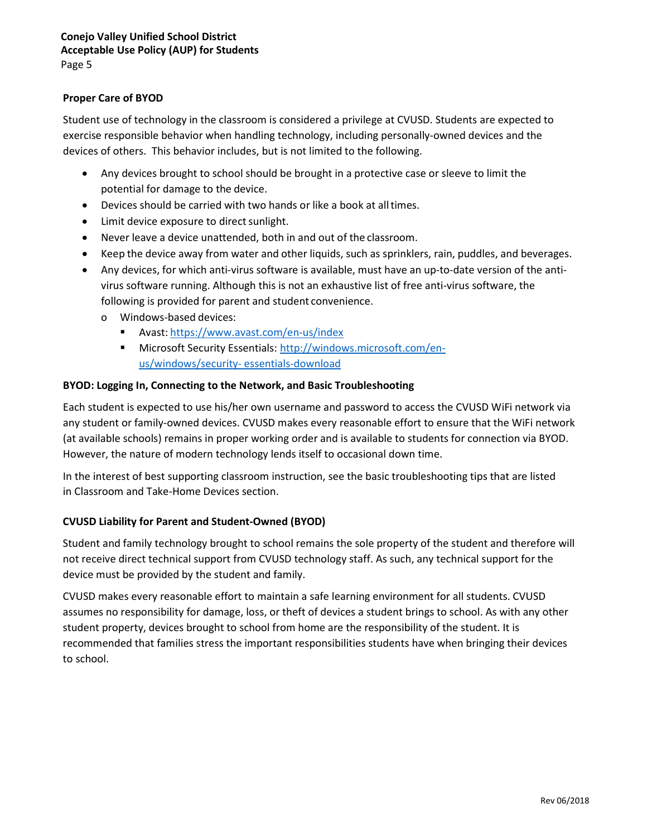#### Proper Care of BYOD

Student use of technology in the classroom is considered a privilege at CVUSD. Students are expected to exercise responsible behavior when handling technology, including personally-owned devices and the devices of others. This behavior includes, but is not limited to the following.

- Any devices brought to school should be brought in a protective case or sleeve to limit the potential for damage to the device.
- Devices should be carried with two hands or like a book at all times.
- Limit device exposure to direct sunlight.
- Never leave a device unattended, both in and out of the classroom.
- Keep the device away from water and other liquids, such as sprinklers, rain, puddles, and beverages.
- Any devices, for which anti-virus software is available, must have an up-to-date version of the antivirus software running. Although this is not an exhaustive list of free anti-virus software, the following is provided for parent and student convenience.
	- o Windows-based devices:
		- Avast: https://www.avast.com/en-us/index
		- Microsoft Security Essentials: http://windows.microsoft.com/enus/windows/security- essentials-download

#### BYOD: Logging In, Connecting to the Network, and Basic Troubleshooting

Each student is expected to use his/her own username and password to access the CVUSD WiFi network via any student or family-owned devices. CVUSD makes every reasonable effort to ensure that the WiFi network (at available schools) remains in proper working order and is available to students for connection via BYOD. However, the nature of modern technology lends itself to occasional down time.

In the interest of best supporting classroom instruction, see the basic troubleshooting tips that are listed in Classroom and Take-Home Devices section.

#### CVUSD Liability for Parent and Student-Owned (BYOD)

Student and family technology brought to school remains the sole property of the student and therefore will not receive direct technical support from CVUSD technology staff. As such, any technical support for the device must be provided by the student and family.

CVUSD makes every reasonable effort to maintain a safe learning environment for all students. CVUSD assumes no responsibility for damage, loss, or theft of devices a student brings to school. As with any other student property, devices brought to school from home are the responsibility of the student. It is recommended that families stress the important responsibilities students have when bringing their devices to school.